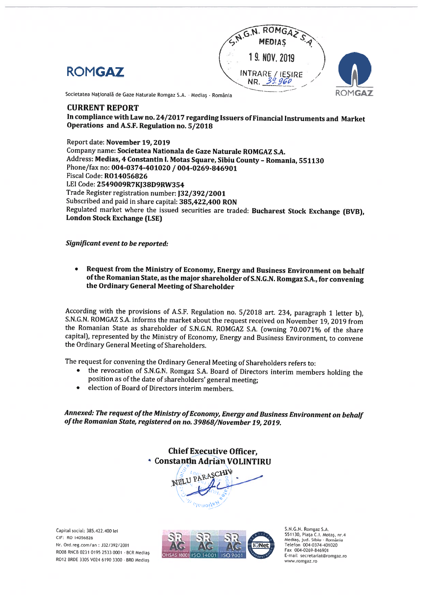



Societatea Națională de Gaze Naturale Romgaz S.A. - Mediaș - România

## CURRENT REPORT

In compliance with Law no. 24/2017 regarding Issuers ofFinancial lnstruments and Market Operations and A.S.F. Regulation no. 5/2018

Report date: November 19, 2019 Company name: Societatea Nationala de Gaze Naturale ROMGAZ S.A. Address: Medias, 4 Constantin I. Motas Square, Sibiu County - Romania, 551130 Phone/fax no: 004-0374-401020 / 004-0269-846901 Fiscal Code: R014056826 LEI Code: 2549009R7KJ38D9RW354 Trade Register registration number: J32/392/2001 Subscribed and paid in share capital: 385,422,400 RON Regulated market where the issued securities are traded: Bucharest Stock Exchange (BVB), London Stock Exchange (LSE)

Significant event to be reported:

 $\bullet$ Request from the Ministry of Economy, Energy and Business Environment on behalf of the Romanian State, as the major shareholder of S.N.G.N. Romgaz S.A., for convening the Ordinary General Meeting of Shareholder

According with the provisions of A.S.F. Regulation no. 5/2018 art. 234, paragraph <sup>1</sup> Ietter b), S.N.G.N. ROMGAZ S.A. informs the market about the request received on November 19, <sup>2019</sup> from the Romanian State as shareholder of S.N.G.N. ROMGAZ S.A. (owning 70.0071% of the share capital), represented by the Ministry of Economy, Energy and Business Environment, to convene the Ordinary General Meeting of Shareholders.

The request for convening the Ordinary General Meeting of Shareholders refers to:

- the revocation of S.N.G.N. Romgaz S.A. Board of Directors interim members holding the  $\bullet$ position as of the date of shareholders' general meeting:
- election of Board of Directors interim members.

Annexed: The request of the Ministry of Economy, Energy and Business Environment on behalf of the Romanian State, registered on no. 39868/November 19, 2019.

> Chief Executive Officer, **Constantin Adrian VOLINTIRU**



Capital social: 385.422.400 lei CIF: RO 14056826 Nr. Ord.reg.com/an: J32/392/2001 RO08 RNCB 0231 0195 2533 0001 - BCR Medias RO12 BRDE 3305 V024 6190 3300 - BRD Medias



S.NG.N. Romgaz S.A. 551130, Piata C.I. Motas, nr.4 Mediaș, jud. Sibiu - România Telefon 004-0374-401020 Fax 004-0269-846901 E-mail secretariat@romgaz.ro www.romgaz.ro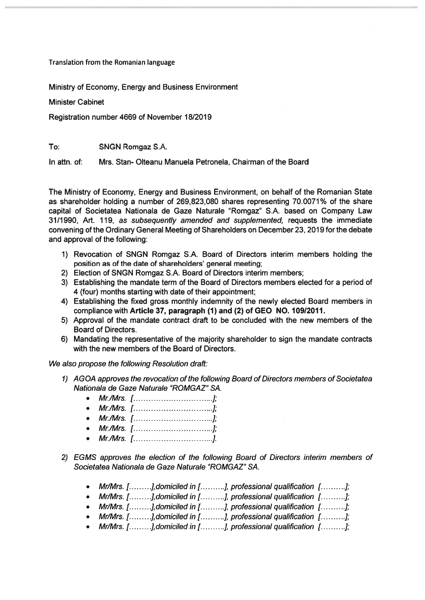Translation from the Romanian language

Ministry of Economy, Energy and Business Environment

Minister Cabinet

Registration number 4669 of November 18/2019

To: SNGN Romgaz S.A.

in attn. of: Mrs. Stan- Olteanu Manuela Petronela, Chairman of the Board

The Ministry of Economy, Energy and Business Environment, on behalf of the Romanian State as shareholder holding <sup>a</sup> number of 269,823,080 shares representing 70.0071% of the share capital of Societatea Nationala de Gaze Naturale "Romgaz" S.A. based on Company Law 31/1990, Art. 119, as subsequently amended and supplemented, requests the immediate convening of the Ordinary General Meeting of Shareholders on December 23, 2019 for the debate and approval of the following:

- 1) Revocation of SNGN Romgaz S.A. Board of Directors interim members holding the position as of the date of shareholders' general meeting;
- 2) Election of SNGN Romgaz S.A. Board of Directors interim members;
- 3) Establishing the mandate term of the Board of Directors members elected for <sup>a</sup> period of 4 (four) months starting with date of their appointment;
- 4) Establishing the fixed gross monthly indemnity of the newly elected Board members in compliance with Article 37, paragraph (1) and (2) of GEO NO. 10912011.
- 5) Approval of the mandate contract draft to be concluded with the new members of the Board of Directors.
- 6) Mandating the representative of the majority shareholder to sign the mandate contracts with the new members of the Board of Directors.

We also propose the following Resolution draft:

- 1) AGOA approves the revocation of the following Board of Directors members of Societatea Nationala de Gaze Naturale "ROMGAZ" SA.
	- Mr./Mrs. [ ];
	- Mr./Mrs. [ ];
	- Mr./Mrs. [ ];
	- Mr./Mrs. [ ];
	- Mr./Mrs. [ ].
- 2) EGMS approves the election of the following Board of Directors intenm members of Societatea Nationala de Gaze Naturale "ROMGAZ" SA.
	- Mr/Mrs.  $[$  [........], domiciled in [.........], professional qualification  $[$  [.........];
	- Mr/Mrs.  $[$ .........], domiciled in  $[$ .........], professional qualification  $[$ .........];
	- Mr/Mrs.  $[$ ........], domiciled in  $[$ .........], professional qualification  $[$ .........];
	- Mr/Mrs.  $[$ .........], domiciled in  $[$ .........], professional qualification  $[$ .........];
	- Mr/Mrs. [ $[$ ... $]$ , domiciled in [ $[$ ... $]$ , professional qualification  $[$ ... $]$ ;